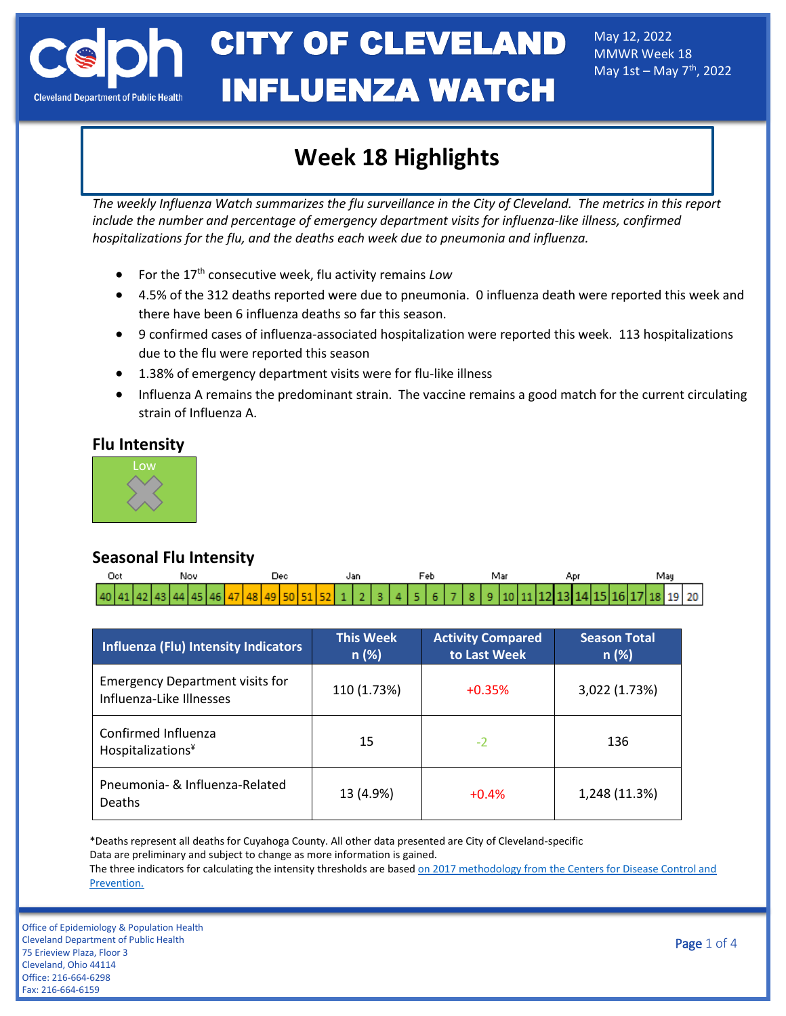May 12, 2022 MMWR Week 18 May  $1st -$ May  $7<sup>th</sup>$ , 2022

# **Week 18 Highlights**

*The weekly Influenza Watch summarizes the flu surveillance in the City of Cleveland. The metrics in this report include the number and percentage of emergency department visits for influenza-like illness, confirmed hospitalizations for the flu, and the deaths each week due to pneumonia and influenza.* 

- For the 17th consecutive week, flu activity remains *Low*
- 4.5% of the 312 deaths reported were due to pneumonia. 0 influenza death were reported this week and there have been 6 influenza deaths so far this season.
- 9 confirmed cases of influenza-associated hospitalization were reported this week. 113 hospitalizations due to the flu were reported this season
- 1.38% of emergency department visits were for flu-like illness
- Influenza A remains the predominant strain. The vaccine remains a good match for the current circulating strain of Influenza A.

#### **Flu Intensity**



### **Seasonal Flu Intensity**

| Oct |  |  | Nov |  |  |  |  |  |  |  |  |  |  |  |  | Mar |  |  |  |  |  | Mau |  |  |  |  |  |  |                                                                                          |
|-----|--|--|-----|--|--|--|--|--|--|--|--|--|--|--|--|-----|--|--|--|--|--|-----|--|--|--|--|--|--|------------------------------------------------------------------------------------------|
|     |  |  |     |  |  |  |  |  |  |  |  |  |  |  |  |     |  |  |  |  |  |     |  |  |  |  |  |  | $ 40 41 42 43 44 45 46 47 48 49 50 51 52 123 345 678 89 10 11 12 13 14 15 16 17 189 20 $ |

| Influenza (Flu) Intensity Indicators                               | <b>This Week</b><br>n(%) | <b>Activity Compared</b><br>to Last Week | <b>Season Total</b><br>n(%) |  |  |
|--------------------------------------------------------------------|--------------------------|------------------------------------------|-----------------------------|--|--|
| <b>Emergency Department visits for</b><br>Influenza-Like Illnesses | 110 (1.73%)              | $+0.35%$                                 | 3,022 (1.73%)               |  |  |
| Confirmed Influenza<br>Hospitalizations¥                           | 15                       | $-2$                                     | 136                         |  |  |
| Pneumonia- & Influenza-Related<br>Deaths                           | 13 (4.9%)                | $+0.4%$                                  | 1,248 (11.3%)               |  |  |

\*Deaths represent all deaths for Cuyahoga County. All other data presented are City of Cleveland-specific Data are preliminary and subject to change as more information is gained.

The three indicators for calculating the intensity thresholds are based on 2017 methodology from the Centers for Disease Control and [Prevention.](https://www.cdc.gov/flu/about/classifies-flu-severity.htm)

Office of Epidemiology & Population Health Cleveland Department of Public Health 75 Erieview Plaza, Floor 3 Cleveland, Ohio 44114 Office: 216-664-6298 Fax: 216-664-6159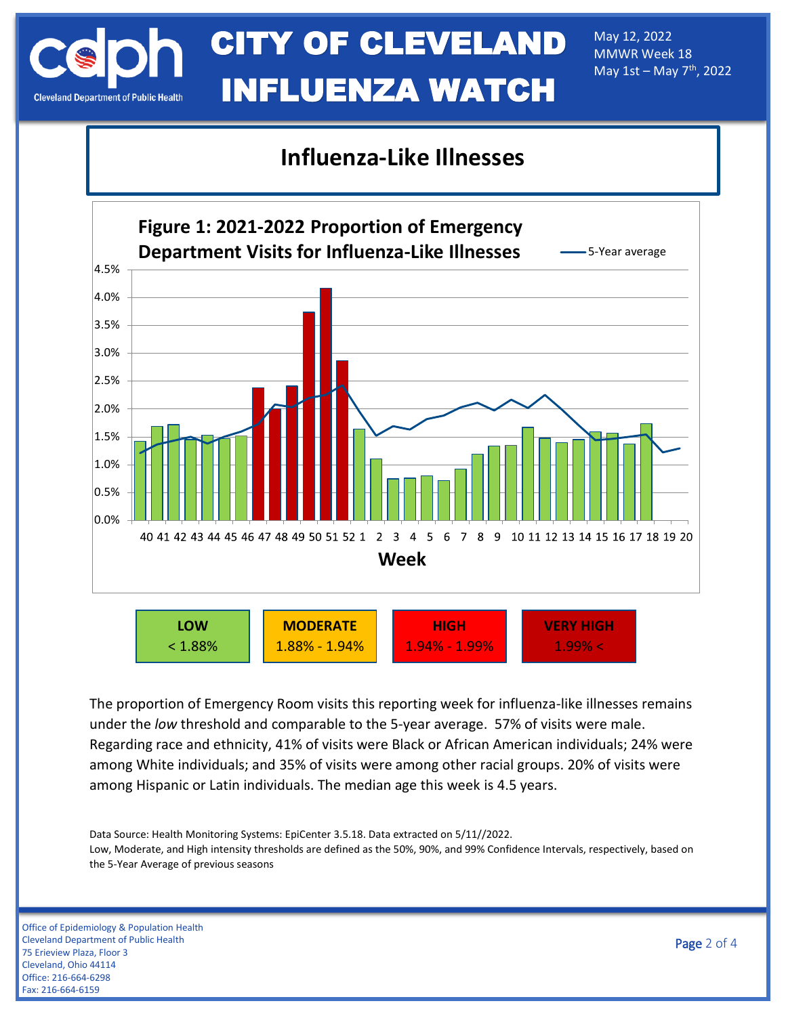May 12, 2022 MMWR Week 18 May  $1st - May 7<sup>th</sup>$ , 2022

### **Influenza-Like Illnesses**



The proportion of Emergency Room visits this reporting week for influenza-like illnesses remains under the *low* threshold and comparable to the 5-year average. 57% of visits were male. Regarding race and ethnicity, 41% of visits were Black or African American individuals; 24% were among White individuals; and 35% of visits were among other racial groups. 20% of visits were among Hispanic or Latin individuals. The median age this week is 4.5 years.

Data Source: Health Monitoring Systems: EpiCenter 3.5.18. Data extracted on 5/11//2022. Low, Moderate, and High intensity thresholds are defined as the 50%, 90%, and 99% Confidence Intervals, respectively, based on the 5-Year Average of previous seasons

Office of Epidemiology & Population Health Cleveland Department of Public Health 75 Erieview Plaza, Floor 3 Cleveland, Ohio 44114 Office: 216-664-6298 Fax: 216-664-6159

Page 2 of 4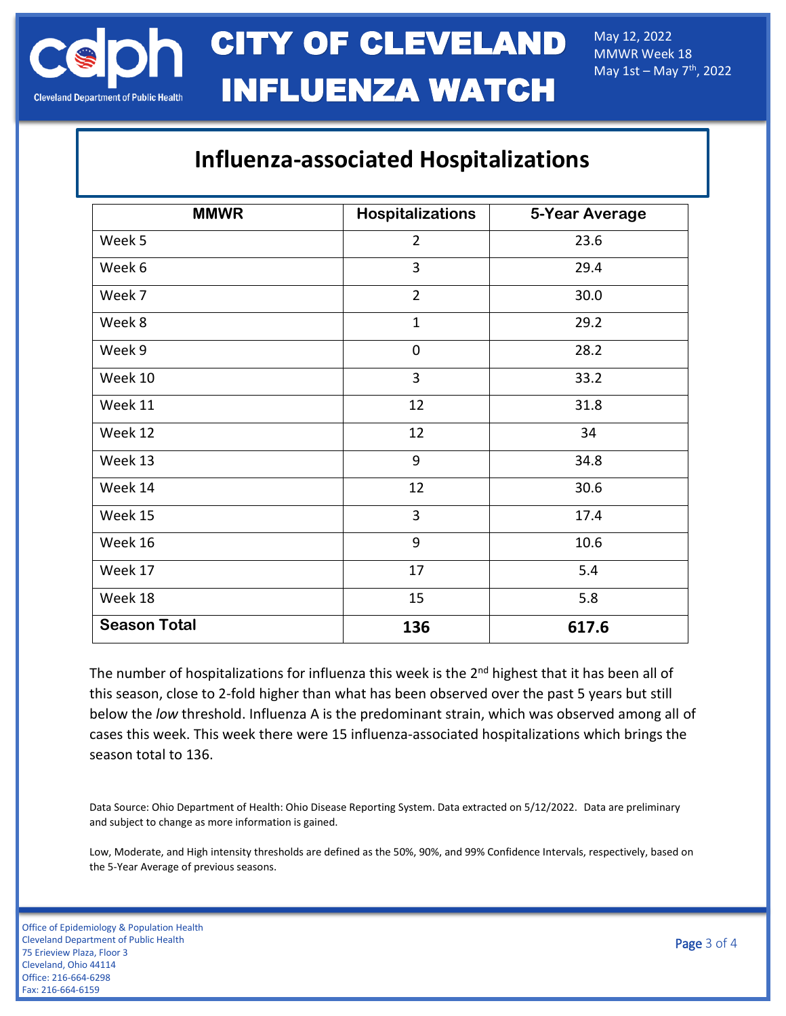May 12, 2022 MMWR Week 18 May  $1st -$ May  $7<sup>th</sup>$ , 2022

## **Influenza-associated Hospitalizations**

| <b>MMWR</b>         | <b>Hospitalizations</b> | 5-Year Average |
|---------------------|-------------------------|----------------|
| Week 5              | $\overline{2}$          | 23.6           |
| Week 6              | $\overline{3}$          | 29.4           |
| Week 7              | $\overline{2}$          | 30.0           |
| Week 8              | $\mathbf{1}$            | 29.2           |
| Week 9              | 0                       | 28.2           |
| Week 10             | $\overline{3}$          | 33.2           |
| Week 11             | 12                      | 31.8           |
| Week 12             | 12                      | 34             |
| Week 13             | 9                       | 34.8           |
| Week 14             | 12                      | 30.6           |
| Week 15             | 3                       | 17.4           |
| Week 16             | 9                       | 10.6           |
| Week 17             | 17                      | 5.4            |
| Week 18             | 15                      | 5.8            |
| <b>Season Total</b> | 136                     | 617.6          |

The number of hospitalizations for influenza this week is the 2<sup>nd</sup> highest that it has been all of this season, close to 2-fold higher than what has been observed over the past 5 years but still below the *low* threshold. Influenza A is the predominant strain, which was observed among all of cases this week. This week there were 15 influenza-associated hospitalizations which brings the season total to 136.

Data Source: Ohio Department of Health: Ohio Disease Reporting System. Data extracted on 5/12/2022. Data are preliminary and subject to change as more information is gained.

Low, Moderate, and High intensity thresholds are defined as the 50%, 90%, and 99% Confidence Intervals, respectively, based on the 5-Year Average of previous seasons.

Office of Epidemiology & Population Health Cleveland Department of Public Health 75 Erieview Plaza, Floor 3 Cleveland, Ohio 44114 Office: 216-664-6298 Fax: 216-664-6159